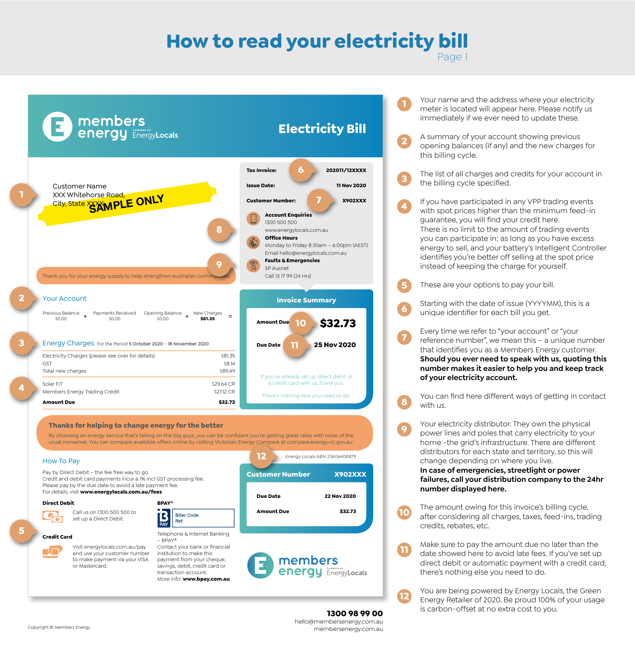## **How to read your electricity bill** Page 1

**1**

**4**

**5**

**6**

**7**



Your name and the address where your electricity meter is located will appear here. Please notify us immediately if we ever need to update these.

A summary of your account showing previous opening balances (if any) and the new charges for this billing cycle. **2**

The list of all charges and credits for your account in the billing cycle specified. **3**

If you have participated in any VPP trading events with spot prices higher than the minimum feed-in guarantee, you will find your credit here. There is no limit to the amount of trading events you can participate in; as long as you have excess energy to sell, and your battery's Intelligent Controller identifies you're better off selling at the spot price instead of keeping the charge for yourself.

These are your options to pay your bill.

Starting with the date of issue (YYYYMM), this is a unique identifier for each bill you get.

Every time we refer to "your account" or "your reference number", we mean this – a unique number that identifies you as a Members Energy customer. **Should you ever need to speak with us, quoting this number makes it easier to help you and keep track of your electricity account.**

You can find here different ways of getting in contact with us. **8**

Your electricity distributor. They own the physical power lines and poles that carry electricity to your home -the grid's infrastructure. There are different distributors for each state and territory, so this will change depending on where you live. **In case of emergencies, streetlight or power 9**

**failures, call your distribution company to the 24hr number displayed here.**

The amount owing for this invoice's billing cycle, after considering all charges, taxes, feed-ins, trading credits, rebates, etc. **10**

Make sure to pay the amount due no later than the date showed here to avoid late fees. If you've set up direct debit or automatic payment with a credit card, there's nothing else you need to do. **11**

You are being powered by Energy Locals, the Green Energy Retailer of 2020. Be proud 100% of your usage is carbon-offset at no extra cost to you.

**1300 98 99 00** hello@membersenergy.com.au membersenergy.com.au